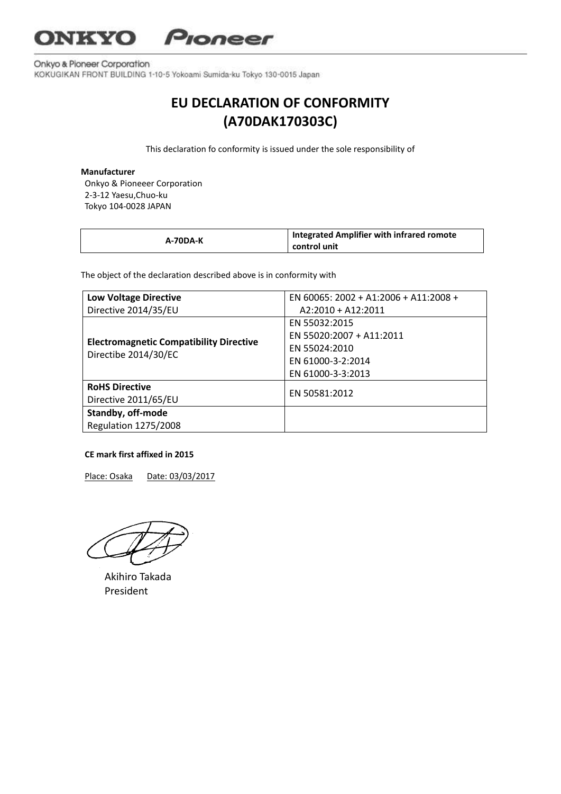## **NKYO** Pioneer

Onkyo & Pioneer Corporation KOKUGIKAN FRONT BUILDING 1-10-5 Yokoami Sumida-ku Tokyo 130-0015 Japan

# **EU DECLARATION OF CONFORMITY (A70DAK170303C)**

This declaration fo conformity is issued under the sole responsibility of

#### **Manufacturer**

Onkyo & Pioneeer Corporation 2-3-12 Yaesu,Chuo-ku Tokyo 104-0028 JAPAN

| A-70DA-K | <b>Integrated Amplifier with infrared romote</b><br>control unit |
|----------|------------------------------------------------------------------|
|----------|------------------------------------------------------------------|

The object of the declaration described above is in conformity with

| <b>Low Voltage Directive</b>                                           | EN 60065: 2002 + A1:2006 + A11:2008 + |
|------------------------------------------------------------------------|---------------------------------------|
| Directive 2014/35/EU                                                   | $A2:2010 + A12:2011$                  |
| <b>Electromagnetic Compatibility Directive</b><br>Directibe 2014/30/EC | EN 55032:2015                         |
|                                                                        | EN 55020:2007 + A11:2011              |
|                                                                        | EN 55024:2010                         |
|                                                                        | EN 61000-3-2:2014                     |
|                                                                        | EN 61000-3-3:2013                     |
| <b>RoHS Directive</b>                                                  | FN 50581:2012                         |
| Directive 2011/65/EU                                                   |                                       |
| Standby, off-mode                                                      |                                       |
| Regulation 1275/2008                                                   |                                       |

### **CE mark first affixed in 2015**

Place: Osaka Date: 03/03/2017

 Akihiro Takada President